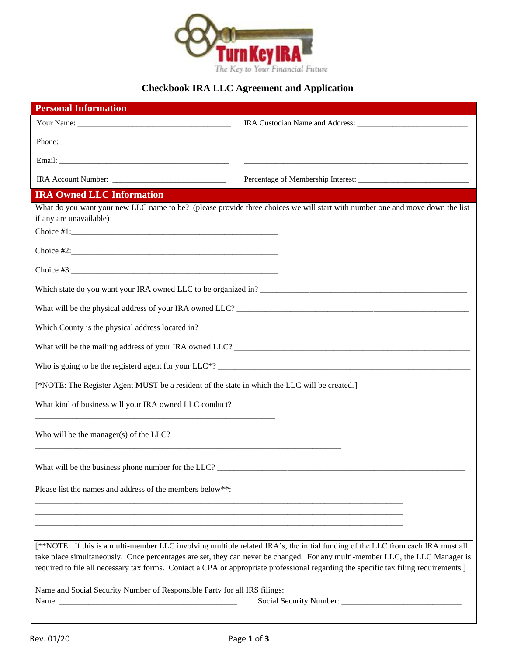

# **Checkbook IRA LLC Agreement and Application**

| <b>Personal Information</b>                                                                   |                                                                                                                                                                                                                                                                      |  |
|-----------------------------------------------------------------------------------------------|----------------------------------------------------------------------------------------------------------------------------------------------------------------------------------------------------------------------------------------------------------------------|--|
|                                                                                               |                                                                                                                                                                                                                                                                      |  |
|                                                                                               |                                                                                                                                                                                                                                                                      |  |
|                                                                                               |                                                                                                                                                                                                                                                                      |  |
| IRA Account Number:                                                                           |                                                                                                                                                                                                                                                                      |  |
| <b>IRA Owned LLC Information</b>                                                              |                                                                                                                                                                                                                                                                      |  |
| if any are unavailable)                                                                       | What do you want your new LLC name to be? (please provide three choices we will start with number one and move down the list                                                                                                                                         |  |
|                                                                                               |                                                                                                                                                                                                                                                                      |  |
|                                                                                               |                                                                                                                                                                                                                                                                      |  |
|                                                                                               |                                                                                                                                                                                                                                                                      |  |
|                                                                                               | Which state do you want your IRA owned LLC to be organized in?                                                                                                                                                                                                       |  |
|                                                                                               |                                                                                                                                                                                                                                                                      |  |
|                                                                                               | Which County is the physical address located in?                                                                                                                                                                                                                     |  |
|                                                                                               |                                                                                                                                                                                                                                                                      |  |
|                                                                                               |                                                                                                                                                                                                                                                                      |  |
| [*NOTE: The Register Agent MUST be a resident of the state in which the LLC will be created.] |                                                                                                                                                                                                                                                                      |  |
| What kind of business will your IRA owned LLC conduct?                                        |                                                                                                                                                                                                                                                                      |  |
| Who will be the manager(s) of the LLC?                                                        |                                                                                                                                                                                                                                                                      |  |
| What will be the business phone number for the $LLC$ ?                                        |                                                                                                                                                                                                                                                                      |  |
| Please list the names and address of the members below**:                                     |                                                                                                                                                                                                                                                                      |  |
|                                                                                               |                                                                                                                                                                                                                                                                      |  |
|                                                                                               | [**NOTE: If this is a multi-member LLC involving multiple related IRA's, the initial funding of the LLC from each IRA must all                                                                                                                                       |  |
|                                                                                               | take place simultaneously. Once percentages are set, they can never be changed. For any multi-member LLC, the LLC Manager is<br>required to file all necessary tax forms. Contact a CPA or appropriate professional regarding the specific tax filing requirements.] |  |
| Name and Social Security Number of Responsible Party for all IRS filings:                     |                                                                                                                                                                                                                                                                      |  |
|                                                                                               |                                                                                                                                                                                                                                                                      |  |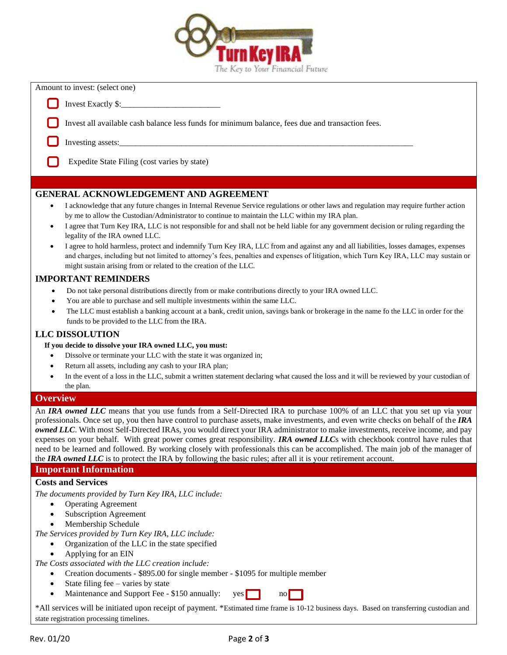

| Amount to invest: (select one) |  |  |  |
|--------------------------------|--|--|--|
|--------------------------------|--|--|--|

Invest Exactly \$:

Invest all available cash balance less funds for minimum balance, fees due and transaction fees.

- Investing assets:
	- Expedite State Filing (cost varies by state)

# **GENERAL ACKNOWLEDGEMENT AND AGREEMENT**

- I acknowledge that any future changes in Internal Revenue Service regulations or other laws and regulation may require further action by me to allow the Custodian/Administrator to continue to maintain the LLC within my IRA plan.
- I agree that Turn Key IRA, LLC is not responsible for and shall not be held liable for any government decision or ruling regarding the legality of the IRA owned LLC.
- I agree to hold harmless, protect and indemnify Turn Key IRA, LLC from and against any and all liabilities, losses damages, expenses and charges, including but not limited to attorney's fees, penalties and expenses of litigation, which Turn Key IRA, LLC may sustain or might sustain arising from or related to the creation of the LLC.

# **IMPORTANT REMINDERS**

- Do not take personal distributions directly from or make contributions directly to your IRA owned LLC.
- You are able to purchase and sell multiple investments within the same LLC.
- The LLC must establish a banking account at a bank, credit union, savings bank or brokerage in the name fo the LLC in order for the funds to be provided to the LLC from the IRA.

# **LLC DISSOLUTION**

**If you decide to dissolve your IRA owned LLC, you must:**

- Dissolve or terminate your LLC with the state it was organized in;
- Return all assets, including any cash to your IRA plan;
- In the event of a loss in the LLC, submit a written statement declaring what caused the loss and it will be reviewed by your custodian of the plan.

#### **Overview**

An *IRA owned LLC* means that you use funds from a Self-Directed IRA to purchase 100% of an LLC that you set up via your professionals. Once set up, you then have control to purchase assets, make investments, and even write checks on behalf of the *IRA owned LLC*. With most Self-Directed IRAs, you would direct your IRA administrator to make investments, receive income, and pay expenses on your behalf. With great power comes great responsibility. *IRA owned LLC*s with checkbook control have rules that need to be learned and followed. By working closely with professionals this can be accomplished. The main job of the manager of the *IRA owned LLC* is to protect the IRA by following the basic rules; after all it is your retirement account.

# **Important Information**

# **Costs and Services**

*The documents provided by Turn Key IRA, LLC include:*

- Operating Agreement
- Subscription Agreement
- Membership Schedule

*The Services provided by Turn Key IRA, LLC include:*

- Organization of the LLC in the state specified
	- Applying for an EIN

*The Costs associated with the LLC creation include:*

- Creation documents \$895.00 for single member \$1095 for multiple member
- State filing fee varies by state
- Maintenance and Support Fee \$150 annually:  $\vee$  yes no

\*All services will be initiated upon receipt of payment. \*Estimated time frame is 10-12 business days. Based on transferring custodian and state registration processing timelines.